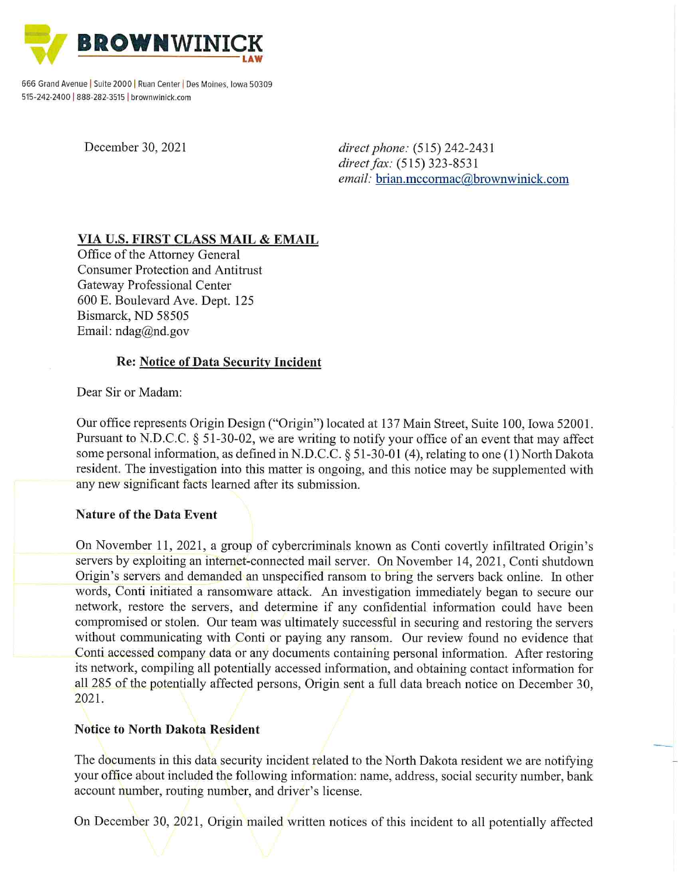

666 Grand Avenue | Suite 2000 | Ruan Center | Des Moines, Iowa 50309 515-242-2400 | 888-282-3515 | brownwinick.com

December 30, 2021

direct phone: (515) 242-2431 direct fax: (515) 323-8531 email: brian.mccormac@brownwinick.com

# VIA U.S. FIRST CLASS MAIL & EMAIL

Office of the Attorney General **Consumer Protection and Antitrust** Gateway Professional Center 600 E. Boulevard Ave. Dept. 125 Bismarck, ND 58505 Email:  $n \text{dag}(\vec{a})$ nd.gov

### **Re: Notice of Data Security Incident**

Dear Sir or Madam:

Our office represents Origin Design ("Origin") located at 137 Main Street, Suite 100, Iowa 52001. Pursuant to N.D.C.C. § 51-30-02, we are writing to notify your office of an event that may affect some personal information, as defined in N.D.C.C. § 51-30-01 (4), relating to one (1) North Dakota resident. The investigation into this matter is ongoing, and this notice may be supplemented with any new significant facts learned after its submission.

#### **Nature of the Data Event**

On November 11, 2021, a group of cybercriminals known as Conti covertly infiltrated Origin's servers by exploiting an internet-connected mail server. On November 14, 2021, Conti shutdown Origin's servers and demanded an unspecified ransom to bring the servers back online. In other words, Conti initiated a ransomware attack. An investigation immediately began to secure our network, restore the servers, and determine if any confidential information could have been compromised or stolen. Our team was ultimately successful in securing and restoring the servers without communicating with Conti or paying any ransom. Our review found no evidence that Conti accessed company data or any documents containing personal information. After restoring its network, compiling all potentially accessed information, and obtaining contact information for all 285 of the potentially affected persons, Origin sent a full data breach notice on December 30, 2021.

## **Notice to North Dakota Resident**

The documents in this data security incident related to the North Dakota resident we are notifying your office about included the following information: name, address, social security number, bank account number, routing number, and driver's license.

On December 30, 2021, Origin mailed written notices of this incident to all potentially affected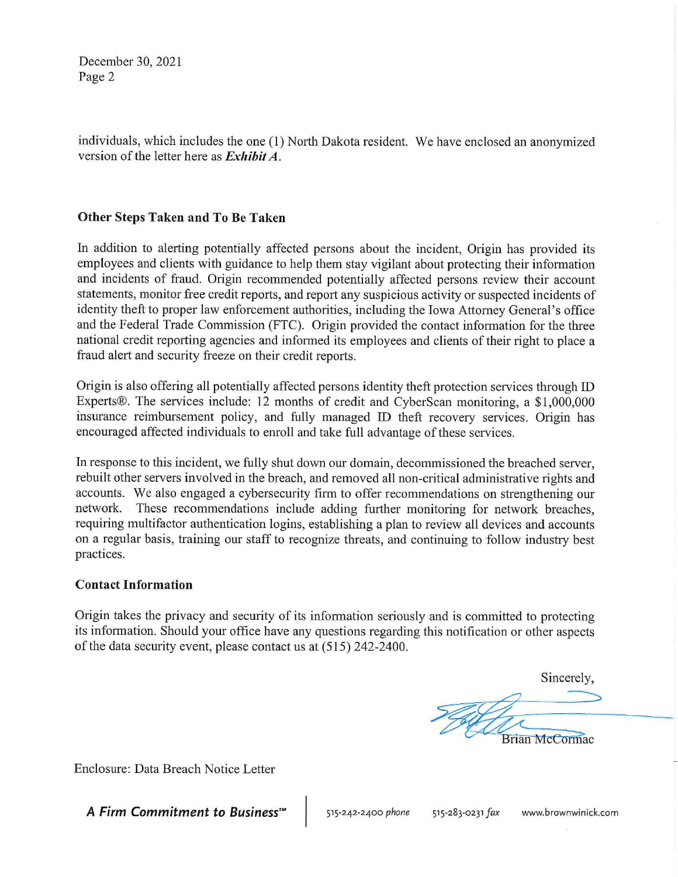December 30, 2021 Page 2

individuals, which includes the one (1) North Dakota resident. We have enclosed an anonymized version of the letter here as  $Exhibit A$ .

### Other Steps Taken and To Be Taken

In addition to alerting potentially affected persons about the incident, Origin has provided its employees and clients with guidance to help them stay vigilant about protecting their information and incidents of fraud. Origin recommended potentially affected persons review their account statements, monitor free credit reports, and report any suspicious activity or suspected incidents of identity theft to proper law enforcement authorities, including the Iowa Attorney General's office and the Federal Trade Commission (FTC). Origin provided the contact information for the three national credit reporting agencies and informed its employees and clients of their right to place a fraud alert and security freeze on their credit reports.

Origin is also offering all potentially affected persons identity theft protection services through ID Experts®. The services include: 12 months of credit and CyberScan monitoring, a \$1,000,000 insurance reimbursement policy, and fully managed ID theft recovery services. Origin has encouraged affected individuals to enroll and take full advantage of these services.

In response to this incident, we fully shut down our domain, decommissioned the breached server, rebuilt other servers involved in the breach, and removed all non-critical administrative rights and accounts. We also engaged a cybersecurity firm to offer recommendations on strengthening our network. These recommendations include adding further monitoring for network breaches, requiring multifactor authentication logins, establishing a plan to review all devices and accounts on a regular basis, training our staff to recognize threats, and continuing to follow industry best practices.

#### **Contact Information**

Origin takes the privacy and security of its information seriously and is committed to protecting its information. Should your office have any questions regarding this notification or other aspects of the data security event, please contact us at (515) 242-2400.

> Sincerely, **Brian McCormac**

Enclosure: Data Breach Notice Letter

A Firm Commitment to Business<sup>™</sup>

515-242-2400 phone 515-283-0231 fax

www.brownwinick.com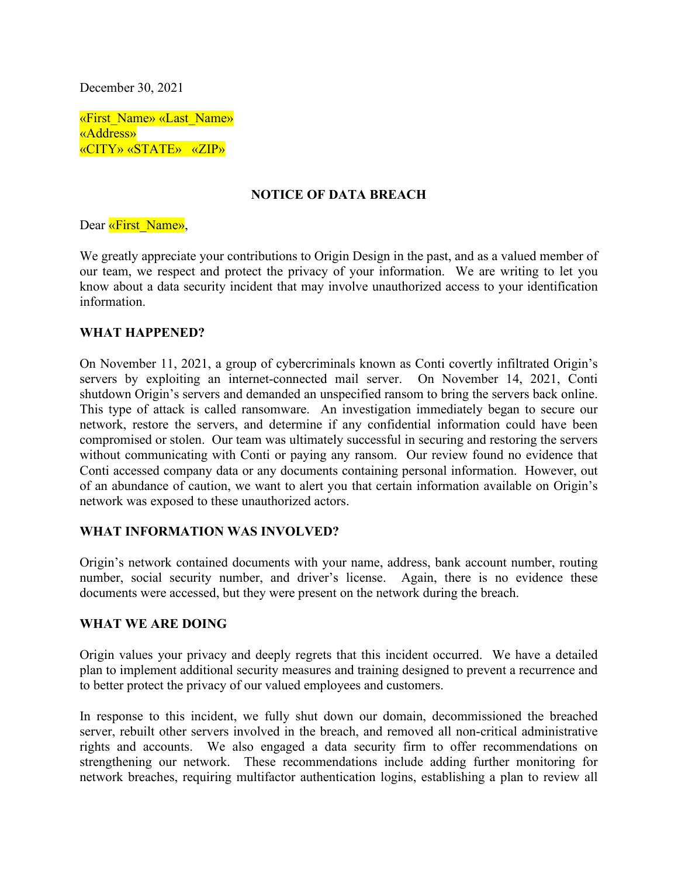December 30, 2021

«First\_Name» «Last\_Name» «Address» «CITY» «STATE» «ZIP»

#### **NOTICE OF DATA BREACH**

Dear «First\_Name»,

We greatly appreciate your contributions to Origin Design in the past, and as a valued member of our team, we respect and protect the privacy of your information. We are writing to let you know about a data security incident that may involve unauthorized access to your identification information.

#### **WHAT HAPPENED?**

On November 11, 2021, a group of cybercriminals known as Conti covertly infiltrated Origin's servers by exploiting an internet-connected mail server. On November 14, 2021, Conti shutdown Origin's servers and demanded an unspecified ransom to bring the servers back online. This type of attack is called ransomware. An investigation immediately began to secure our network, restore the servers, and determine if any confidential information could have been compromised or stolen. Our team was ultimately successful in securing and restoring the servers without communicating with Conti or paying any ransom. Our review found no evidence that Conti accessed company data or any documents containing personal information. However, out of an abundance of caution, we want to alert you that certain information available on Origin's network was exposed to these unauthorized actors.

#### **WHAT INFORMATION WAS INVOLVED?**

Origin's network contained documents with your name, address, bank account number, routing number, social security number, and driver's license. Again, there is no evidence these documents were accessed, but they were present on the network during the breach.

#### **WHAT WE ARE DOING**

Origin values your privacy and deeply regrets that this incident occurred. We have a detailed plan to implement additional security measures and training designed to prevent a recurrence and to better protect the privacy of our valued employees and customers.

In response to this incident, we fully shut down our domain, decommissioned the breached server, rebuilt other servers involved in the breach, and removed all non-critical administrative rights and accounts. We also engaged a data security firm to offer recommendations on strengthening our network. These recommendations include adding further monitoring for network breaches, requiring multifactor authentication logins, establishing a plan to review all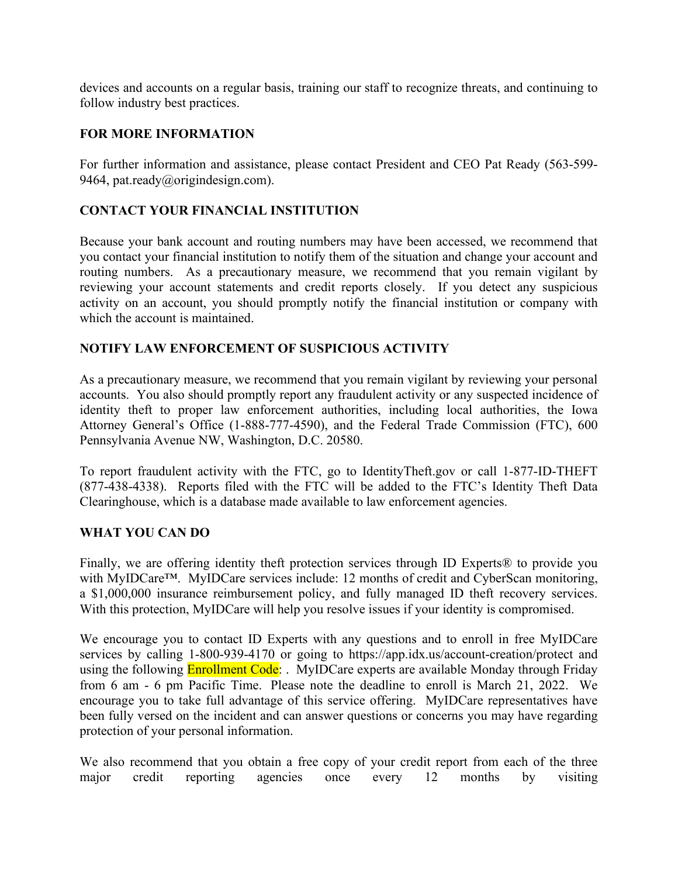devices and accounts on a regular basis, training our staff to recognize threats, and continuing to follow industry best practices.

### **FOR MORE INFORMATION**

For further information and assistance, please contact President and CEO Pat Ready (563-599- 9464, pat.ready@origindesign.com).

# **CONTACT YOUR FINANCIAL INSTITUTION**

Because your bank account and routing numbers may have been accessed, we recommend that you contact your financial institution to notify them of the situation and change your account and routing numbers. As a precautionary measure, we recommend that you remain vigilant by reviewing your account statements and credit reports closely. If you detect any suspicious activity on an account, you should promptly notify the financial institution or company with which the account is maintained.

### **NOTIFY LAW ENFORCEMENT OF SUSPICIOUS ACTIVITY**

As a precautionary measure, we recommend that you remain vigilant by reviewing your personal accounts. You also should promptly report any fraudulent activity or any suspected incidence of identity theft to proper law enforcement authorities, including local authorities, the Iowa Attorney General's Office (1-888-777-4590), and the Federal Trade Commission (FTC), 600 Pennsylvania Avenue NW, Washington, D.C. 20580.

To report fraudulent activity with the FTC, go to IdentityTheft.gov or call 1-877-ID-THEFT (877-438-4338). Reports filed with the FTC will be added to the FTC's Identity Theft Data Clearinghouse, which is a database made available to law enforcement agencies.

#### **WHAT YOU CAN DO**

Finally, we are offering identity theft protection services through ID Experts® to provide you with MyIDCare™. MyIDCare services include: 12 months of credit and CyberScan monitoring, a \$1,000,000 insurance reimbursement policy, and fully managed ID theft recovery services. With this protection, MyIDCare will help you resolve issues if your identity is compromised.

We encourage you to contact ID Experts with any questions and to enroll in free MyIDCare services by calling 1-800-939-4170 or going to https://app.idx.us/account-creation/protect and using the following **Enrollment Code**: . MyIDCare experts are available Monday through Friday from 6 am - 6 pm Pacific Time. Please note the deadline to enroll is March 21, 2022. We encourage you to take full advantage of this service offering. MyIDCare representatives have been fully versed on the incident and can answer questions or concerns you may have regarding protection of your personal information.

We also recommend that you obtain a free copy of your credit report from each of the three major credit reporting agencies once every 12 months by visiting